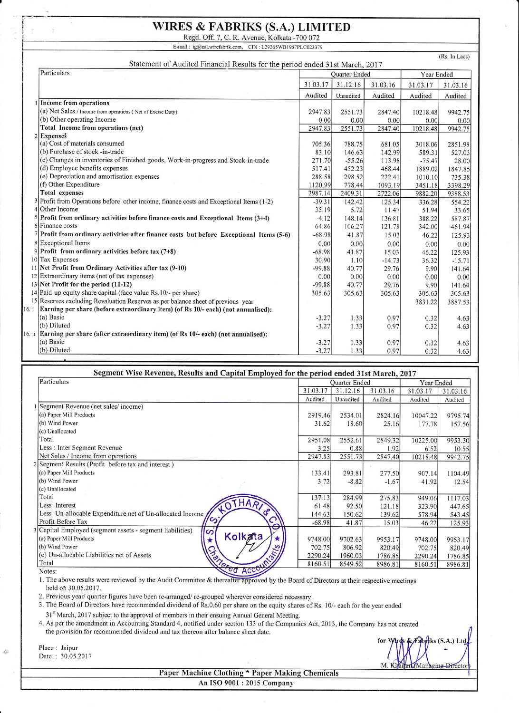## WIRES & FABRIKS (S.A.) LIMITED

Regd. Off. 7, C. R. Avenue, Kolkata -700 072<br>E-mail : ig@cal.wirefabrik.com, CIN: L29265WB1957PLC023379

(Rs. hr Lacs) Statement of Audited Financial Results for the period ended 31st March, 2017 Particulars **Particulars Particulars Particulars Particulars Particulars Particulars Particulars Particulars Particulars Particulars Particulars Particulars Particulars Particulars Particulars** <sup>3</sup>r.03.17 3l.t2.l6 31.03.16 31.03.17 3l.03.I6 Audited | Unaudited | Audited | Audited | Audited 1 Income from operations  $(a)$  Net Sales / Income from operations ( Net of Excise Duty) 2947.83 25st.73 2847.40 10218.48 9942.75 (b) Other operating Income  $\frac{0.00}{2947.83}$  $\frac{0.00}{2551.73}$  $\frac{0.00}{2847.40}$ 0.00  $\frac{0.00}{9942.75}$ Total Income from operations (net) 10218.48 2 Expenses  $(a)$  Cost of materials consumed '705.36 788.75 681.05 3018.06 2851.98 (b) Purchase of stock -in-trade 83.10 146.63 142.99 589.31 527.03 (c) Changes in inventories ofFinished goods. Work-in-progress and Stock-in-trade 271.70 -55.26 113.98  $-75.47$ 28.00 (d) Ernployee benefits expenses 517.4t 452.23 468.44 1889.02 1847.85 (e) Depreciation and amortisation expenses 288.58 298.s2 222.41 l0l0.10 735.38 (f) Other Expenditure 1120.99<br>2987.14 778.44 1093.19 3451.18<br>9882.20 3398.29<br>9388.53 **Total** expenses 2409.31 2722.06 Profit from Operations before other income, finance costs and Exceptional Items (1-2) Other Income -39.31 142.42 t25.34 336.28 554.22 <sup>3</sup>5.19 5.72 I|.41 51.94 33.6s Profit from ordinary activities before finance costs and Exceptional ltems (3+4) 5 4.12 148.14 136.81 388.22 s87.87 Finance costs 64.86 106.27 121.78 342.00 461.94 Profit from ordinary activities after finance costs but before Exceptional Items (5-6) -68.98 41.8? 15.03 46.22 125.93 Exceptional Items 0.00 0.00  $\mathbf{R}$ 0.00 0.00 0.00 Profit from ordinary activities before tax  $(7+8)$ -68.98 41.87 15.03  $\Omega$ 46.22 125.93 10 Tax Expenses 30.90 r.l0  $-14.73$ 36.32  $-15.71$ Net Profit from Ordinary Activities after tax (9-10) I -99.88 40.77 29.76 9.90 141.64 Extraordinary items (net of tax expenses)  $12$ 0.00 0.00 0.00 0.00 0.00 -99.88 40.77 29.76 9.90 141.64 13 Net Profit {or the period (11-12) 305.63 305.63 30s.63 305.63 305.63 14 Paid-up equity share capital (face value Rs.l0/- per share) 15 Reserves excluding Revaluation Reserves as per balance sheet of previous year 3831.22 3887.53 16. i Earning per share (before extraordinary item) (of Rs 10/- each) (not annualised): (a) Basic  $-3.27$ 1.33 0.97 0.32 4.63 (b) Diluted  $-3.27$ 1.33 0.97 0.32 4.63 16. ii Earning per share (after extraordinary item) (of Rs  $10/-$  each) (not annualised): (a) Basic 0.97  $-3.27$ 1.33 0.32 4.63 (b) Diluted  $-3.27$ 1.33 0.97 0.32 4.63

| Segment Wise Revenue, Results and Capital Employed for the period ended 31st March, 2017 |          |                      |            |          |          |  |  |  |  |
|------------------------------------------------------------------------------------------|----------|----------------------|------------|----------|----------|--|--|--|--|
| Particulars                                                                              |          | <b>Ouarter Ended</b> | Year Ended |          |          |  |  |  |  |
|                                                                                          | 31.03.17 | 31.12.16             | 31.03.16   | 31.03.17 | 31.03.16 |  |  |  |  |
|                                                                                          | Audited  | Unaudited            | Audited    | Audited  | Audited  |  |  |  |  |
| 1 Segment Revenue (net sales/income)                                                     |          |                      |            |          |          |  |  |  |  |
| (a) Paper Mill Products                                                                  | 2919.46  | 2534.01              | 2824.16    | 10047.22 | 9795.74  |  |  |  |  |
| (b) Wind Power                                                                           | 31.62    | 18.60                | 25.16      | 177.78   | 157.56   |  |  |  |  |
| (c) Unallocated                                                                          |          |                      |            |          |          |  |  |  |  |
| Total                                                                                    | 2951.08  | 2552.61              | 2849.32    | 10225.00 | 9953.30  |  |  |  |  |
| Less : Inter Segment Revenue                                                             | 3.25     | 0.88                 | 1.92       | 6.52     | 10.55    |  |  |  |  |
| Net Sales / Income from operations                                                       | 2947.83  | 2551.73              | 2847.40    | 10218.48 | 9942.75  |  |  |  |  |
| 2 Segment Results (Profit before tax and interest)                                       |          |                      |            |          |          |  |  |  |  |
| (a) Paper Mill Products                                                                  | 133.41   | 293.81               | 277.50     | 907.14   | 1104.49  |  |  |  |  |
| (b) Wind Power                                                                           | 3.72     | $-8.82$              | $-1.67$    | 41.92    | 12.54    |  |  |  |  |
| (c) Unallocated                                                                          |          |                      |            |          |          |  |  |  |  |
| Total                                                                                    | 137.13   | 284.99               | 275.83     | 949.06   | 1117.03  |  |  |  |  |
| <b>HART</b><br>Less Interest<br>$\overline{O}$                                           | 61.48    | 92.50                | 121.18     | 323.90   | 447.65   |  |  |  |  |
| Less Un-allocable Expenditure net of Un-allocated Income,                                | 144.63   | 150.62               | 139.62     | 578.94   | 543.45   |  |  |  |  |
| S<br>O<br>Profit Before Tax                                                              | $-68.98$ | 41.87                | 15.03      | 46.22    | 125.93   |  |  |  |  |
| 3 Capital Employed (segment assets - segment liabilities)<br>တ                           |          |                      |            |          |          |  |  |  |  |
| Kolkata<br>(a) Paper Mill Products<br>$\star$                                            | 9748.00  | 9702.63              | 9953.17    | 9748.00  | 9953.17  |  |  |  |  |
| (b) Wind Power                                                                           | 702.75   | 806.92               | 820.49     | 702.75   | 820.49   |  |  |  |  |
| (c) Un-allocable Liabilities net of Assets                                               | 2290.24  | 1960.03              | 1786.85    | 2290.24  | 1786.85  |  |  |  |  |
| Accounts<br><b>Serier</b><br>Total                                                       | 8160.51  | 8549.52              | 8986.81    | 8160.51  | 8986.81  |  |  |  |  |
| ed<br>Notes:                                                                             |          |                      |            |          |          |  |  |  |  |

l. The above results were reviewed by the Audit Committee & by the Board of Directors at their respective meetings held ofi 30.05.2017.

2. Previous year/ quarter figures have been re-arranged/ re-grouped wherever considered necessary.

3. The Board of Directors have recommended dividend of Rs.0.60 per share on the equity shares of Rs. 10/- each for the year ended 31<sup>st</sup> March, 2017 subject to the approval of members in their ensuing Annual General Meeting.

4. As per the amendment in Accounting Standard 4, notified under section 133 of the Companies Act, 2013, the Company has not created the provision for recommended dividend and tax thereon after balance sheet date.

Date: 30.05.2017

 $\dot{\phi}$ 

for Wirds  $&$  Fabriks (S.A.) Ltd Place: Jaipur  $\bigcap_{i=1}^{\infty} \bigcup_{i=1}^{\infty} \bigcup_{j=1}^{\infty} \bigcup_{j=1}^{\infty} \bigcup_{j=1}^{\infty} \bigcup_{j=1}^{\infty} \bigcup_{j=1}^{\infty} \bigcup_{j=1}^{\infty} \bigcup_{j=1}^{\infty} \bigcup_{j=1}^{\infty} \bigcup_{j=1}^{\infty} \bigcup_{j=1}^{\infty} \bigcup_{j=1}^{\infty} \bigcup_{j=1}^{\infty} \bigcup_{j=1}^{\infty} \bigcup_{j=1}^{\in$ M.K

**Paper Machine Clothing \* Paper Making Chemicals** An ISO 9001 : 2015 Compan)